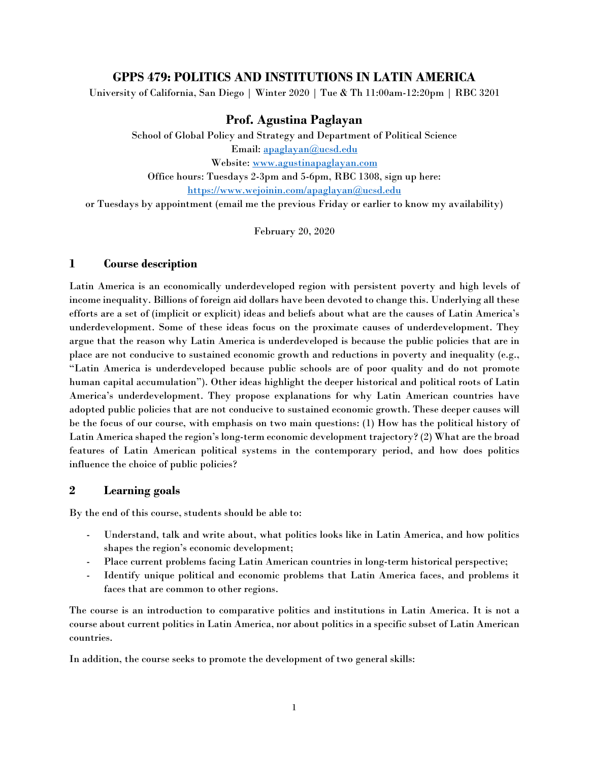# **GPPS 479: POLITICS AND INSTITUTIONS IN LATIN AMERICA**

University of California, San Diego | Winter 2020 | Tue & Th 11:00am-12:20pm | RBC 3201

# **Prof. Agustina Paglayan**

School of Global Policy and Strategy and Department of Political Science Email: [apaglayan@ucsd.edu](mailto:apaglayan@ucsd.edu) Website: [www.agustinapaglayan.com](http://www.agustinapaglayan.com/) Office hours: Tuesdays 2-3pm and 5-6pm, RBC 1308, sign up here: <https://www.wejoinin.com/apaglayan@ucsd.edu> or Tuesdays by appointment (email me the previous Friday or earlier to know my availability)

February 20, 2020

#### **1 Course description**

Latin America is an economically underdeveloped region with persistent poverty and high levels of income inequality. Billions of foreign aid dollars have been devoted to change this. Underlying all these efforts are a set of (implicit or explicit) ideas and beliefs about what are the causes of Latin America's underdevelopment. Some of these ideas focus on the proximate causes of underdevelopment. They argue that the reason why Latin America is underdeveloped is because the public policies that are in place are not conducive to sustained economic growth and reductions in poverty and inequality (e.g., "Latin America is underdeveloped because public schools are of poor quality and do not promote human capital accumulation"). Other ideas highlight the deeper historical and political roots of Latin America's underdevelopment. They propose explanations for why Latin American countries have adopted public policies that are not conducive to sustained economic growth. These deeper causes will be the focus of our course, with emphasis on two main questions: (1) How has the political history of Latin America shaped the region's long-term economic development trajectory? (2) What are the broad features of Latin American political systems in the contemporary period, and how does politics influence the choice of public policies?

# **2 Learning goals**

By the end of this course, students should be able to:

- Understand, talk and write about, what politics looks like in Latin America, and how politics shapes the region's economic development;
- Place current problems facing Latin American countries in long-term historical perspective;
- Identify unique political and economic problems that Latin America faces, and problems it faces that are common to other regions.

The course is an introduction to comparative politics and institutions in Latin America. It is not a course about current politics in Latin America, nor about politics in a specific subset of Latin American countries.

In addition, the course seeks to promote the development of two general skills: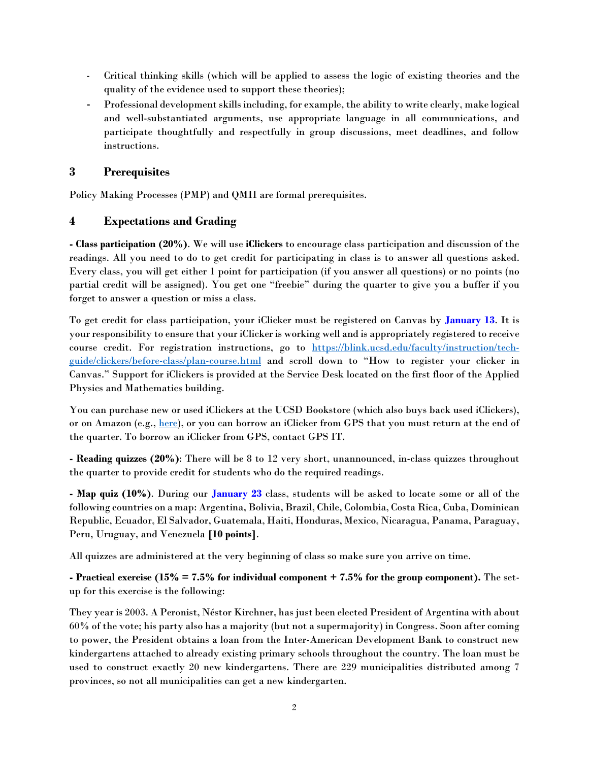- Critical thinking skills (which will be applied to assess the logic of existing theories and the quality of the evidence used to support these theories);
- Professional development skills including, for example, the ability to write clearly, make logical and well-substantiated arguments, use appropriate language in all communications, and participate thoughtfully and respectfully in group discussions, meet deadlines, and follow instructions.

# **3 Prerequisites**

Policy Making Processes (PMP) and QMII are formal prerequisites.

# **4 Expectations and Grading**

**- Class participation (20%)**. We will use **iClickers** to encourage class participation and discussion of the readings. All you need to do to get credit for participating in class is to answer all questions asked. Every class, you will get either 1 point for participation (if you answer all questions) or no points (no partial credit will be assigned). You get one "freebie" during the quarter to give you a buffer if you forget to answer a question or miss a class.

To get credit for class participation, your iClicker must be registered on Canvas by **January 13**. It is your responsibility to ensure that your iClicker is working well and is appropriately registered to receive course credit. For registration instructions, go to [https://blink.ucsd.edu/faculty/instruction/tech](https://blink.ucsd.edu/faculty/instruction/tech-guide/clickers/before-class/plan-course.html)[guide/clickers/before-class/plan-course.html](https://blink.ucsd.edu/faculty/instruction/tech-guide/clickers/before-class/plan-course.html) and scroll down to "How to register your clicker in Canvas." Support for iClickers is provided at the Service Desk located on the first floor of the Applied Physics and Mathematics building.

You can purchase new or used iClickers at the UCSD Bookstore (which also buys back used iClickers), or on Amazon (e.g., [here\)](https://www.amazon.com/clicker-student-remote-Gen1-Frequency/dp/0716779390/ref=sr_1_16?ie=UTF8&qid=1537992092&sr=8-16&keywords=iClicker), or you can borrow an iClicker from GPS that you must return at the end of the quarter. To borrow an iClicker from GPS, contact GPS IT.

**- Reading quizzes (20%)**: There will be 8 to 12 very short, unannounced, in-class quizzes throughout the quarter to provide credit for students who do the required readings.

**- Map quiz (10%)**. During our **January 23** class, students will be asked to locate some or all of the following countries on a map: Argentina, Bolivia, Brazil, Chile, Colombia, Costa Rica, Cuba, Dominican Republic, Ecuador, El Salvador, Guatemala, Haiti, Honduras, Mexico, Nicaragua, Panama, Paraguay, Peru, Uruguay, and Venezuela **[10 points]**.

All quizzes are administered at the very beginning of class so make sure you arrive on time.

**- Practical exercise (15% = 7.5% for individual component + 7.5% for the group component).** The setup for this exercise is the following:

They year is 2003. A Peronist, Néstor Kirchner, has just been elected President of Argentina with about 60% of the vote; his party also has a majority (but not a supermajority) in Congress. Soon after coming to power, the President obtains a loan from the Inter-American Development Bank to construct new kindergartens attached to already existing primary schools throughout the country. The loan must be used to construct exactly 20 new kindergartens. There are 229 municipalities distributed among 7 provinces, so not all municipalities can get a new kindergarten.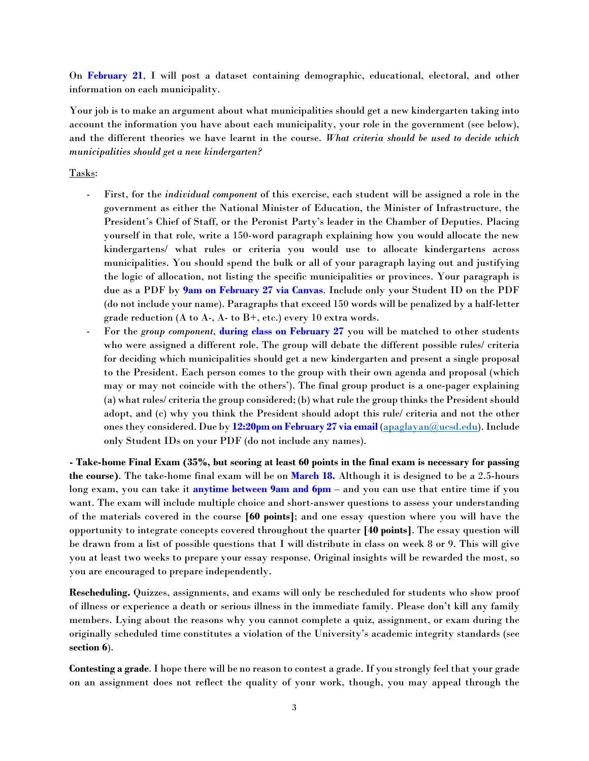On **February 21**, I will post a dataset containing demographic, educational, electoral, and other information on each municipality.

Your job is to make an argument about what municipalities should get a new kindergarten taking into account the information you have about each municipality, your role in the government (see below), and the different theories we have learnt in the course. *What criteria should be used to decide which municipalities should get a new kindergarten?*

# Tasks:

- First, for the *individual component* of this exercise, each student will be assigned a role in the government as either the National Minister of Education, the Minister of Infrastructure, the President's Chief of Staff, or the Peronist Party's leader in the Chamber of Deputies. Placing yourself in that role, write a 150-word paragraph explaining how you would allocate the new kindergartens/ what rules or criteria you would use to allocate kindergartens across municipalities. You should spend the bulk or all of your paragraph laying out and justifying the logic of allocation, not listing the specific municipalities or provinces. Your paragraph is due as a PDF by **9am on February 27 via Canvas**. Include only your Student ID on the PDF (do not include your name). Paragraphs that exceed 150 words will be penalized by a half-letter grade reduction (A to A-, A- to B+, etc.) every 10 extra words.
- For the *group component*, **during class on February 27** you will be matched to other students who were assigned a different role. The group will debate the different possible rules/ criteria for deciding which municipalities should get a new kindergarten and present a single proposal to the President. Each person comes to the group with their own agenda and proposal (which may or may not coincide with the others'). The final group product is a one-pager explaining (a) what rules/ criteria the group considered; (b) what rule the group thinks the President should adopt, and (c) why you think the President should adopt this rule/ criteria and not the other ones they considered. Due by **12:20pm on February 27 via email** [\(apaglayan@ucsd.edu\)](mailto:apaglayan@ucsd.edu). Include only Student IDs on your PDF (do not include any names).

**- Take-home Final Exam (35%, but scoring at least 60 points in the final exam is necessary for passing the course)**. The take-home final exam will be on **March 18.** Although it is designed to be a 2.5-hours long exam, you can take it **anytime between 9am and 6pm** – and you can use that entire time if you want. The exam will include multiple choice and short-answer questions to assess your understanding of the materials covered in the course **[60 points]**; and one essay question where you will have the opportunity to integrate concepts covered throughout the quarter **[40 points]**. The essay question will be drawn from a list of possible questions that I will distribute in class on week 8 or 9. This will give you at least two weeks to prepare your essay response. Original insights will be rewarded the most, so you are encouraged to prepare independently.

**Rescheduling.** Quizzes, assignments, and exams will only be rescheduled for students who show proof of illness or experience a death or serious illness in the immediate family. Please don't kill any family members. Lying about the reasons why you cannot complete a quiz, assignment, or exam during the originally scheduled time constitutes a violation of the University's academic integrity standards (see **section 6**).

**Contesting a grade**. I hope there will be no reason to contest a grade. If you strongly feel that your grade on an assignment does not reflect the quality of your work, though, you may appeal through the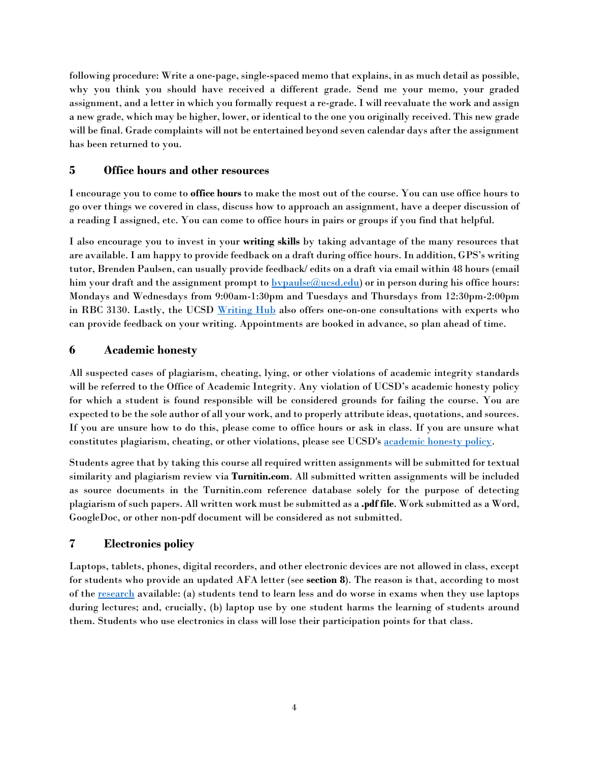following procedure: Write a one-page, single-spaced memo that explains, in as much detail as possible, why you think you should have received a different grade. Send me your memo, your graded assignment, and a letter in which you formally request a re-grade. I will reevaluate the work and assign a new grade, which may be higher, lower, or identical to the one you originally received. This new grade will be final. Grade complaints will not be entertained beyond seven calendar days after the assignment has been returned to you.

# **5 Office hours and other resources**

I encourage you to come to **office hours** to make the most out of the course. You can use office hours to go over things we covered in class, discuss how to approach an assignment, have a deeper discussion of a reading I assigned, etc. You can come to office hours in pairs or groups if you find that helpful.

I also encourage you to invest in your **writing skills** by taking advantage of the many resources that are available. I am happy to provide feedback on a draft during office hours. In addition, GPS's writing tutor, Brenden Paulsen, can usually provide feedback/ edits on a draft via email within 48 hours (email him your draft and the assignment prompt to  $b$ y paulse $@$ ucsd.edu) or in person during his office hours: Mondays and Wednesdays from 9:00am-1:30pm and Tuesdays and Thursdays from 12:30pm-2:00pm in RBC 3130. Lastly, the UCSD [Writing Hub](http://commons.ucsd.edu/students/writing/index.html) also offers one-on-one consultations with experts who can provide feedback on your writing. Appointments are booked in advance, so plan ahead of time.

# **6 Academic honesty**

All suspected cases of plagiarism, cheating, lying, or other violations of academic integrity standards will be referred to the Office of Academic Integrity. Any violation of UCSD's academic honesty policy for which a student is found responsible will be considered grounds for failing the course. You are expected to be the sole author of all your work, and to properly attribute ideas, quotations, and sources. If you are unsure how to do this, please come to office hours or ask in class. If you are unsure what constitutes plagiarism, cheating, or other violations, please see UCSD's [academic honesty policy.](http://academicintegrity.ucsd.edu/)

Students agree that by taking this course all required written assignments will be submitted for textual similarity and plagiarism review via **Turnitin.com**. All submitted written assignments will be included as source documents in the Turnitin.com reference database solely for the purpose of detecting plagiarism of such papers. All written work must be submitted as a **.pdf file**. Work submitted as a Word, GoogleDoc, or other non-pdf document will be considered as not submitted.

# **7 Electronics policy**

Laptops, tablets, phones, digital recorders, and other electronic devices are not allowed in class, except for students who provide an updated AFA letter (see **section 8**). The reason is that, according to most of the research available: (a) students tend to learn less and do worse in exams when they use laptops during lectures; and, crucially, (b) laptop use by one student harms the learning of students around them. Students who use electronics in class will lose their participation points for that class.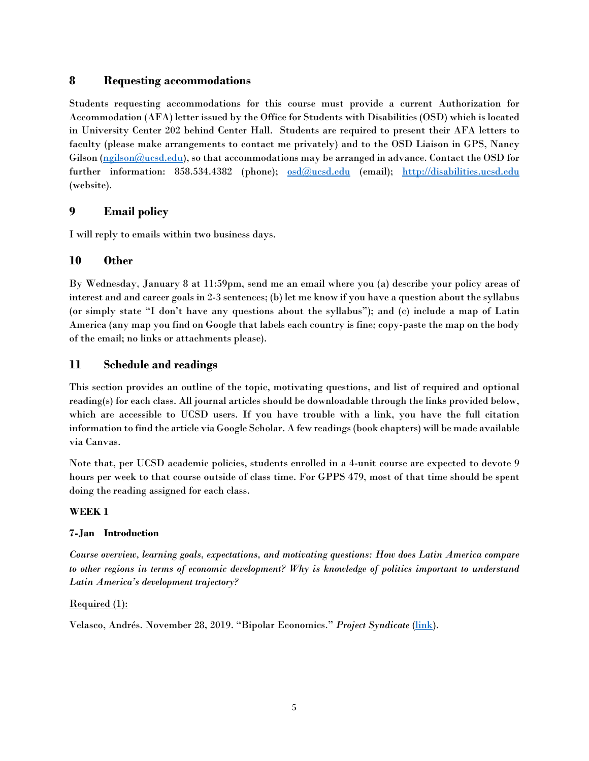# **8 Requesting accommodations**

Students requesting accommodations for this course must provide a current Authorization for Accommodation (AFA) letter issued by the Office for Students with Disabilities (OSD) which is located in University Center 202 behind Center Hall. Students are required to present their AFA letters to faculty (please make arrangements to contact me privately) and to the OSD Liaison in GPS, Nancy Gilson  $(\underline{n}$ gilson $(\overline{a}$ ucsd.edu), so that accommodations may be arranged in advance. Contact the OSD for further information: 858.534.4382 (phone);  $\frac{\text{osd}(\text{Qucsd.edu}}{\text{Coul})}$  (email); [http://disabilities.ucsd.edu](http://disabilities.ucsd.edu/) (website).

# **9 Email policy**

I will reply to emails within two business days.

# **10 Other**

By Wednesday, January 8 at 11:59pm, send me an email where you (a) describe your policy areas of interest and and career goals in 2-3 sentences; (b) let me know if you have a question about the syllabus (or simply state "I don't have any questions about the syllabus"); and (c) include a map of Latin America (any map you find on Google that labels each country is fine; copy-paste the map on the body of the email; no links or attachments please).

# **11 Schedule and readings**

This section provides an outline of the topic, motivating questions, and list of required and optional reading(s) for each class. All journal articles should be downloadable through the links provided below, which are accessible to UCSD users. If you have trouble with a link, you have the full citation information to find the article via Google Scholar. A few readings (book chapters) will be made available via Canvas.

Note that, per UCSD academic policies, students enrolled in a 4-unit course are expected to devote 9 hours per week to that course outside of class time. For GPPS 479, most of that time should be spent doing the reading assigned for each class.

# **WEEK 1**

# **7-Jan Introduction**

*Course overview, learning goals, expectations, and motivating questions: How does Latin America compare to other regions in terms of economic development? Why is knowledge of politics important to understand Latin America's development trajectory?* 

# Required (1):

Velasco, Andrés. November 28, 2019. "Bipolar Economics." *Project Syndicate* [\(link\)](https://www.project-syndicate.org/commentary/limits-of-randomized-controlled-economics-trials-by-andres-velasco-2019-11).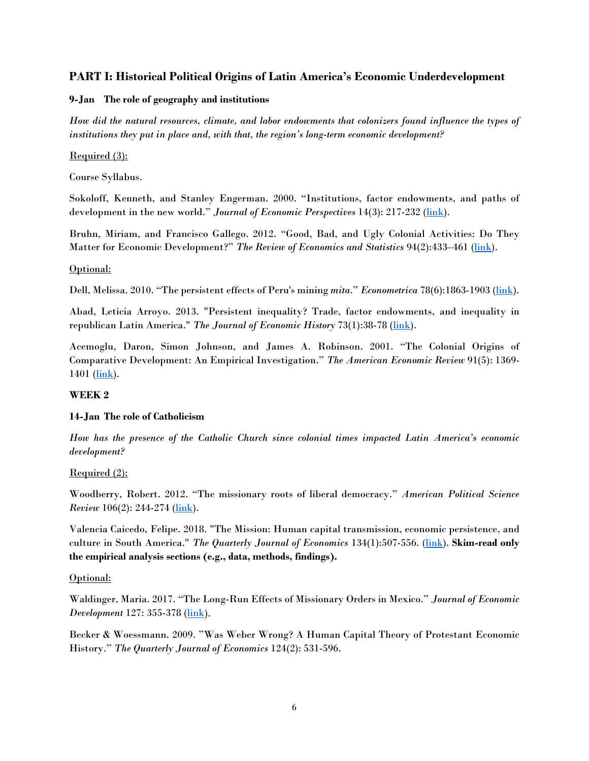# **PART I: Historical Political Origins of Latin America's Economic Underdevelopment**

# **9-Jan The role of geography and institutions**

*How did the natural resources, climate, and labor endowments that colonizers found influence the types of institutions they put in place and, with that, the region's long-term economic development?*

# Required (3):

Course Syllabus.

Sokoloff, Kenneth, and Stanley Engerman. 2000. "Institutions, factor endowments, and paths of development in the new world." *Journal of Economic Perspectives* 14(3): 217-232 [\(link\)](https://pubs.aeaweb.org/doi/pdfplus/10.1257/jep.14.3.217).

Bruhn, Miriam, and Francisco Gallego. 2012. "Good, Bad, and Ugly Colonial Activities: Do They Matter for Economic Development?" *The Review of Economics and Statistics* 94(2):433–461 [\(link\)](https://www.mitpressjournals.org/doi/pdf/10.1162/REST_a_00218).

# Optional:

Dell, Melissa. 2010. "The persistent effects of Peru's mining *mita." Econometrica* 78(6):1863-1903 [\(link\)](http://web.stanford.edu/group/SITE/archive/SITE_2009/segment_9/segment_9_papers/dell_combined.pdf).

Abad, Leticia Arroyo. 2013. "Persistent inequality? Trade, factor endowments, and inequality in republican Latin America." *The Journal of Economic History* 73(1):38-78 (*link*).

Acemoglu, Daron, Simon Johnson, and James A. Robinson. 2001. "The Colonial Origins of Comparative Development: An Empirical Investigation." *The American Economic Review* 91(5): 1369-  $1401$  ( $\overline{\text{link}}$ ).

# **WEEK 2**

# **14-Jan The role of Catholicism**

*How has the presence of the Catholic Church since colonial times impacted Latin America's economic development?*

# Required (2):

Woodberry, Robert. 2012. "The missionary roots of liberal democracy." *American Political Science Review* 106(2): 244-274 [\(link\)](https://www.jstor.org/stable/pdf/41495078.pdf?casa_token=3dZg0LeVaGAAAAAA:zDWXDg3wEWw_mKRpjCb4-sIzL0L8JymY_KPoxBEkbOqQTHbayZSdm6JpYeGVRQUKnzRMsVpXtZeoQkBT0AWjmGQwU3whcZyZ-EIltGXZ_HcUBA059Sg).

Valencia Caicedo, Felipe. 2018. "The Mission: Human capital transmission, economic persistence, and culture in South America." *The Quarterly Journal of Economics* 134(1):507-556. [\(link\)](https://academic.oup.com/qje/article-abstract/134/1/507/5123742). **Skim-read only the empirical analysis sections (e.g., data, methods, findings).**

# Optional:

Waldinger, Maria. 2017. "The Long-Run Effects of Missionary Orders in Mexico." *Journal of Economic Development* 127: 355-378 (*link*).

Becker & Woessmann. 2009. "Was Weber Wrong? A Human Capital Theory of Protestant Economic History." *The Quarterly Journal of Economics* 124(2): 531-596.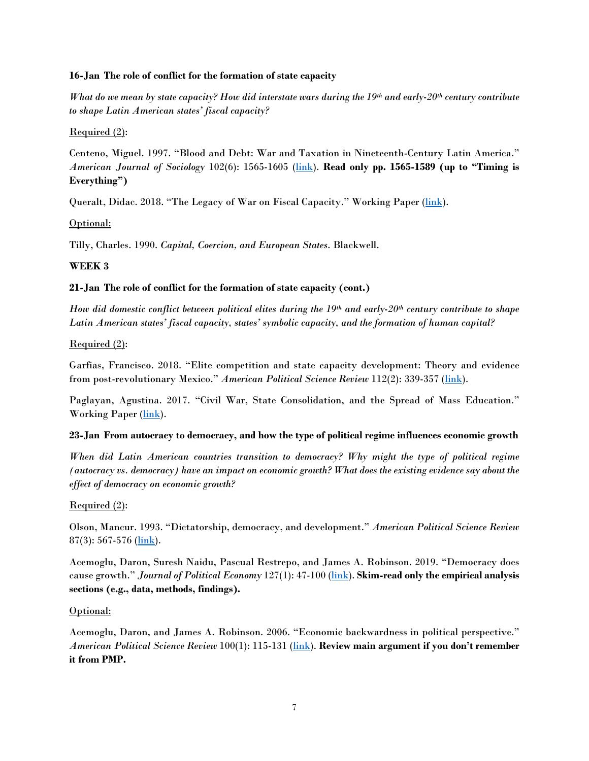#### **16-Jan The role of conflict for the formation of state capacity**

*What do we mean by state capacity? How did interstate wars during the 19th and early-20th century contribute to shape Latin American states' fiscal capacity?* 

Required (2):

Centeno, Miguel. 1997. "Blood and Debt: War and Taxation in Nineteenth-Century Latin America." *American Journal of Sociology* 102(6): 1565-1605 [\(link\)](https://s3.amazonaws.com/academia.edu.documents/44304305/231127.pdf?response-content-disposition=inline%3B%20filename%3DBlood_and_Debt_War_and_Taxation_in_Ninet.pdf&X-Amz-Algorithm=AWS4-HMAC-SHA256&X-Amz-Credential=AKIAIWOWYYGZ2Y53UL3A%2F20191226%2Fus-east-1%2Fs3%2Faws4_request&X-Amz-Date=20191226T223956Z&X-Amz-Expires=3600&X-Amz-SignedHeaders=host&X-Amz-Signature=95dc6ea6ca3342d5e188ca9f569aa001d30a71bb3cbc96d92baeec30dcdcdf28). **Read only pp. 1565-1589 (up to "Timing is Everything")**

Queralt, Didac. 2018. "The Legacy of War on Fiscal Capacity." Working Paper (*link*).

Optional:

Tilly, Charles. 1990. *Capital, Coercion, and European States*. Blackwell.

# **WEEK 3**

# **21-Jan The role of conflict for the formation of state capacity (cont.)**

*How did domestic conflict between political elites during the 19th and early-20th century contribute to shape Latin American states' fiscal capacity, states' symbolic capacity, and the formation of human capital?*

Required (2):

Garfias, Francisco. 2018. "Elite competition and state capacity development: Theory and evidence from post-revolutionary Mexico." *American Political Science Review* 112(2): 339-357 [\(link\)](http://franciscogarfias.com/StateCapacity_FG.pdf).

Paglayan, Agustina. 2017. "Civil War, State Consolidation, and the Spread of Mass Education." Working Paper [\(link\)](https://docs.wixstatic.com/ugd/a763a0_98303806de7242e8b0db05431fca339e.pdf).

# **23-Jan From autocracy to democracy, and how the type of political regime influences economic growth**

*When did Latin American countries transition to democracy? Why might the type of political regime (autocracy vs. democracy) have an impact on economic growth? What does the existing evidence say about the effect of democracy on economic growth?* 

# Required (2):

Olson, Mancur. 1993. "Dictatorship, democracy, and development." *American Political Science Review*  $87(3)$ : 567-576 [\(link\)](https://www.jstor.org/stable/pdf/2938736.pdf?casa_token=5xlzRESaEoQAAAAA:G2mv8IQYOPP3FD_jNZeiCkdbyky2L9eKCkgbktDZ8Zcqd6cqSsy2FSG8Qh0yi6qDAy4bCYX1Y8JZYe0rx2KQCS5ui1pqfAa7tACP71WO_2bYJuRizd8).

Acemoglu, Daron, Suresh Naidu, Pascual Restrepo, and James A. Robinson. 2019. "Democracy does cause growth." *Journal of Political Economy* 127(1): 47-100 [\(link\)](https://www.journals.uchicago.edu/doi/abs/10.1086/700936). **Skim-read only the empirical analysis sections (e.g., data, methods, findings).**

# Optional:

Acemoglu, Daron, and James A. Robinson. 2006. "Economic backwardness in political perspective." *American Political Science Review* 100(1): 115-131 [\(link\)](https://www.jstor.org/stable/pdf/27644335.pdf?casa_token=TLzJIVs2FRYAAAAA:VzES1epLoTiYlKNws2GbcH_fXhFp89OSNP8lKH5ZHIlM3KYktTp6-xYRAhbNiHqIURve88_gv7RwZSTbQ8--FuRRDoYbCUdDM_EWNvPOR_90DsEd7uw). **Review main argument if you don't remember it from PMP.**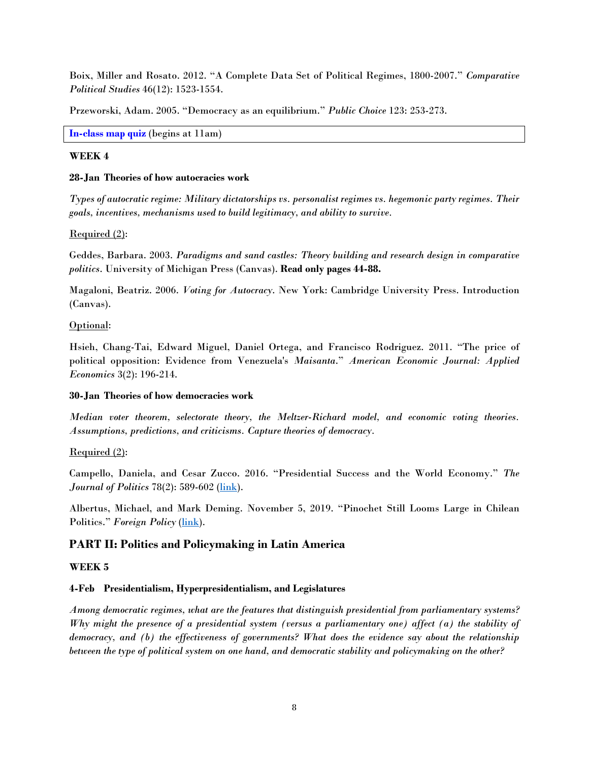Boix, Miller and Rosato. 2012. "A Complete Data Set of Political Regimes, 1800-2007." *Comparative Political Studies* 46(12): 1523-1554.

Przeworski, Adam. 2005. "Democracy as an equilibrium." *Public Choice* 123: 253-273.

**In-class map quiz** (begins at 11am)

#### **WEEK 4**

#### **28-Jan Theories of how autocracies work**

*Types of autocratic regime: Military dictatorships vs. personalist regimes vs. hegemonic party regimes. Their goals, incentives, mechanisms used to build legitimacy, and ability to survive.*

#### Required (2):

Geddes, Barbara. 2003. *Paradigms and sand castles: Theory building and research design in comparative politics*. University of Michigan Press (Canvas). **Read only pages 44-88.**

Magaloni, Beatriz. 2006. *Voting for Autocracy*. New York: Cambridge University Press. Introduction (Canvas).

#### Optional:

Hsieh, Chang-Tai, Edward Miguel, Daniel Ortega, and Francisco Rodriguez. 2011. "The price of political opposition: Evidence from Venezuela's *Maisanta*." *American Economic Journal: Applied Economics* 3(2): 196-214.

# **30-Jan Theories of how democracies work**

*Median voter theorem, selectorate theory, the Meltzer-Richard model, and economic voting theories. Assumptions, predictions, and criticisms. Capture theories of democracy.*

# Required (2):

Campello, Daniela, and Cesar Zucco. 2016. "Presidential Success and the World Economy." *The Journal of Politics* 78(2): 589-602 [\(link\)](http://www.fgv.br/professor/ebape/daniela.campello/files/CampelloZucco-JoP.pdf).

Albertus, Michael, and Mark Deming. November 5, 2019. "Pinochet Still Looms Large in Chilean Politics." *Foreign Policy* (*link*).

# **PART II: Politics and Policymaking in Latin America**

#### **WEEK 5**

#### **4-Feb Presidentialism, Hyperpresidentialism, and Legislatures**

*Among democratic regimes, what are the features that distinguish presidential from parliamentary systems? Why might the presence of a presidential system (versus a parliamentary one) affect (a) the stability of democracy, and (b) the effectiveness of governments? What does the evidence say about the relationship between the type of political system on one hand, and democratic stability and policymaking on the other?*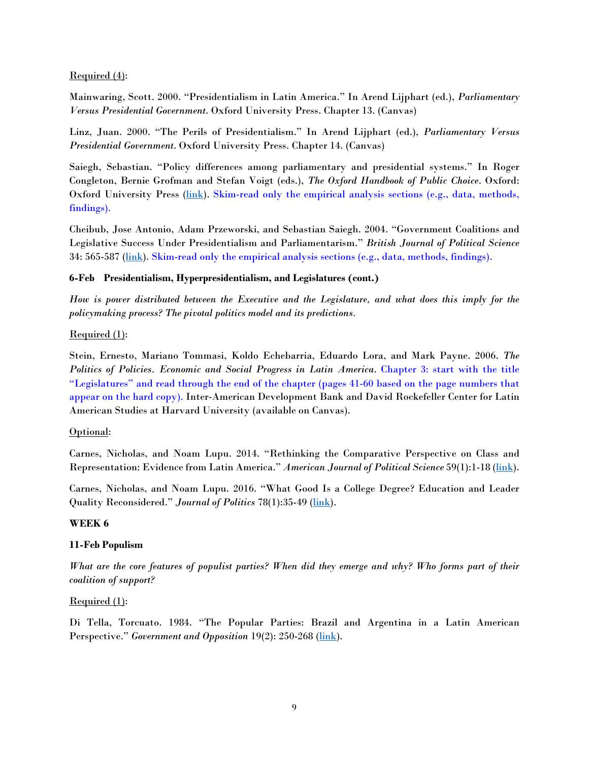#### Required (4):

Mainwaring, Scott. 2000. "Presidentialism in Latin America." In Arend Lijphart (ed.), *Parliamentary Versus Presidential Government*. Oxford University Press. Chapter 13. (Canvas)

Linz, Juan. 2000. "The Perils of Presidentialism." In Arend Lijphart (ed.), *Parliamentary Versus Presidential Government*. Oxford University Press. Chapter 14. (Canvas)

Saiegh, Sebastian. "Policy differences among parliamentary and presidential systems." In Roger Congleton, Bernie Grofman and Stefan Voigt (eds.), *The Oxford Handbook of Public Choice*. Oxford: Oxford University Press [\(link\)](http://pages.ucsd.edu/%7Essaiegh/oxford_pc_chapter.pdf). Skim-read only the empirical analysis sections (e.g., data, methods, findings).

Cheibub, Jose Antonio, Adam Przeworski, and Sebastian Saiegh. 2004. "Government Coalitions and Legislative Success Under Presidentialism and Parliamentarism." *British Journal of Political Science* 34: 565-587 [\(link\)](http://pages.ucsd.edu/%7Essaiegh/BJPS.pdf). Skim-read only the empirical analysis sections (e.g., data, methods, findings).

#### **6-Feb Presidentialism, Hyperpresidentialism, and Legislatures (cont.)**

*How is power distributed between the Executive and the Legislature, and what does this imply for the policymaking process? The pivotal politics model and its predictions.*

#### Required (1):

Stein, Ernesto, Mariano Tommasi, Koldo Echebarria, Eduardo Lora, and Mark Payne. 2006. *The Politics of Policies. Economic and Social Progress in Latin America*. Chapter 3: start with the title "Legislatures" and read through the end of the chapter (pages 41-60 based on the page numbers that appear on the hard copy). Inter-American Development Bank and David Rockefeller Center for Latin American Studies at Harvard University (available on Canvas).

#### Optional:

Carnes, Nicholas, and Noam Lupu. 2014. "Rethinking the Comparative Perspective on Class and Representation: Evidence from Latin America." *American Journal of Political Science* 59(1):1-18 [\(link\)](https://onlinelibrary.wiley.com/doi/abs/10.1111/ajps.12112).

Carnes, Nicholas, and Noam Lupu. 2016. "What Good Is a College Degree? Education and Leader Quality Reconsidered." *Journal of Politics* 78(1):35-49 [\(link\)](http://www.noamlupu.com/leader_education.pdf).

# **WEEK 6**

# **11-Feb Populism**

*What are the core features of populist parties? When did they emerge and why? Who forms part of their coalition of support?*

# Required (1):

Di Tella, Torcuato. 1984. "The Popular Parties: Brazil and Argentina in a Latin American Perspective." *Government and Opposition* 19(2): 250-268 [\(link\)](https://www.jstor.org/stable/pdf/44484663.pdf?casa_token=I9FYbizMZGYAAAAA:9UhZrBhpCBYF-h6IB8pJwNVFFFYJCGwu3Sim41gwA0-pKn9pS3_kU1Y_b5DGlsZUGQ4tIKfNfyNKGA9JlJMgZaIxm0F_FzucaUPr3bocGFH5iZ4IoXo).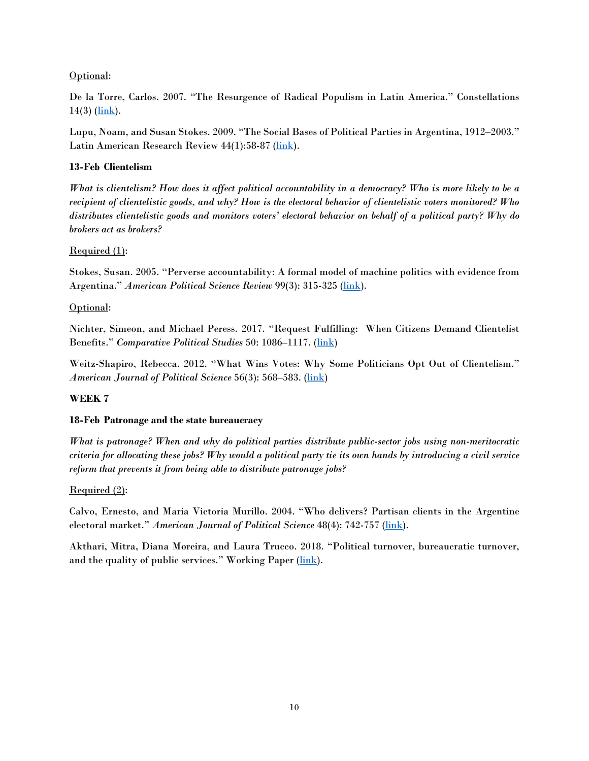# Optional:

De la Torre, Carlos. 2007. "The Resurgence of Radical Populism in Latin America." Constellations  $14(3)$  ( $\overline{\text{link}}$ ).

Lupu, Noam, and Susan Stokes. 2009. "The Social Bases of Political Parties in Argentina, 1912–2003." Latin American Research Review 44(1):58-87 [\(link\)](https://cpb-us-w2.wpmucdn.com/campuspress.yale.edu/dist/1/446/files/2017/02/social_Bases_Parties_Argentina-21luugx.pdf).

# **13-Feb Clientelism**

*What is clientelism? How does it affect political accountability in a democracy? Who is more likely to be a recipient of clientelistic goods, and why? How is the electoral behavior of clientelistic voters monitored? Who distributes clientelistic goods and monitors voters' electoral behavior on behalf of a political party? Why do brokers act as brokers?* 

# Required (1):

Stokes, Susan. 2005. "Perverse accountability: A formal model of machine politics with evidence from Argentina." *American Political Science Review* 99(3): 315-325 [\(link\)](https://www.jstor.org/stable/pdf/30038942.pdf?casa_token=FmCUJA3HNb4AAAAA:NsXTRTl97tOguUo1lzA_Ah5AGMRnO7CjhMeO_IYKMVhKBAtP4tB1rVOgC7hWbYzhaUavokNG5gyrgmwyOJaAlXFVeky5zf7AJYh7zkuweumCMK6xQ-k).

# Optional:

Nichter, Simeon, and Michael Peress. 2017. "Request Fulfilling: When Citizens Demand Clientelist Benefits." *Comparative Political Studies* 50: 1086–1117. [\(link\)](https://drive.google.com/file/d/0Byk1tLdA_itDZExfc3U4bUpoZ2M/view)

Weitz-Shapiro, Rebecca. 2012. "What Wins Votes: Why Some Politicians Opt Out of Clientelism." *American Journal of Political Science* 56(3): 568–583. [\(link\)](https://onlinelibrary.wiley.com/doi/pdf/10.1111/j.1540-5907.2011.00578.x)

# **WEEK 7**

# **18-Feb Patronage and the state bureaucracy**

*What is patronage? When and why do political parties distribute public-sector jobs using non-meritocratic criteria for allocating these jobs? Why would a political party tie its own hands by introducing a civil service reform that prevents it from being able to distribute patronage jobs?*

# Required (2):

Calvo, Ernesto, and Maria Victoria Murillo. 2004. "Who delivers? Partisan clients in the Argentine electoral market." *American Journal of Political Science* 48(4): 742-757 [\(link\)](https://www.jstor.org/stable/pdf/1519931.pdf?casa_token=yAvpzIsF62MAAAAA:utUk52NA8D22AyBhT0h81tUSCwMbtWI9Nj8cTJEVGmd8Fh2r6IzPcEcBcMMto40H3uyAG3mVRZTZd6JSdP_mkk510_2C-na3ONnxImfDuKfhR5PBW-s).

Akthari, Mitra, Diana Moreira, and Laura Trucco. 2018. "Political turnover, bureaucratic turnover, and the quality of public services." Working Paper [\(link\)](https://dianamoreira.com/pdf/dm/Akhtari%20Moreira%20Trucco_updated.pdf).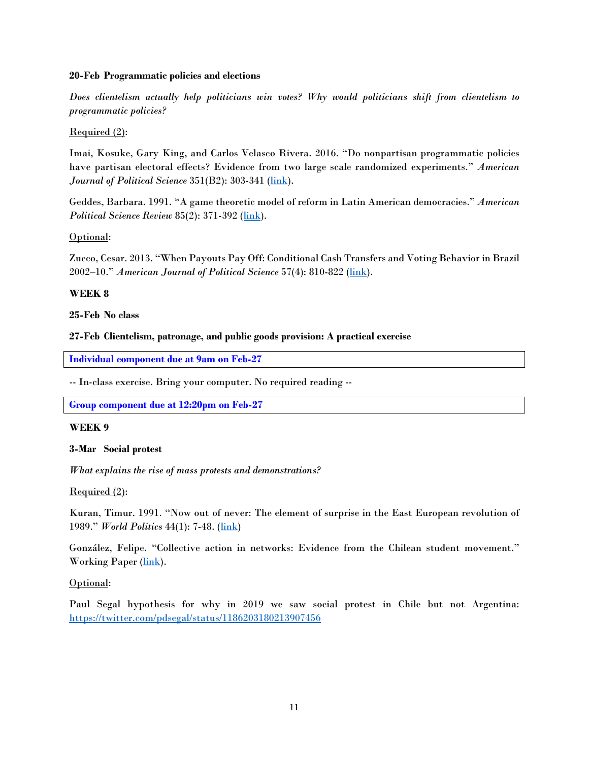#### **20-Feb Programmatic policies and elections**

*Does clientelism actually help politicians win votes? Why would politicians shift from clientelism to programmatic policies?*

# Required (2):

Imai, Kosuke, Gary King, and Carlos Velasco Rivera. 2016. "Do nonpartisan programmatic policies have partisan electoral effects? Evidence from two large scale randomized experiments." *American Journal of Political Science* 351(B2): 303-341 [\(link\)](https://pdfs.semanticscholar.org/8d84/972bbfeff0ea4114ae4558852339550a4006.pdf).

Geddes, Barbara. 1991. "A game theoretic model of reform in Latin American democracies." *American Political Science Review* 85(2): 371-392 (*link*).

# Optional:

Zucco, Cesar. 2013. "When Payouts Pay Off: Conditional Cash Transfers and Voting Behavior in Brazil 2002–10." *American Journal of Political Science* 57(4): 810-822 [\(link\)](https://onlinelibrary.wiley.com/doi/full/10.1111/ajps.12026).

# **WEEK 8**

# **25-Feb No class**

#### **27-Feb Clientelism, patronage, and public goods provision: A practical exercise**

**Individual component due at 9am on Feb-27**

-- In-class exercise. Bring your computer. No required reading --

**Group component due at 12:20pm on Feb-27**

#### **WEEK 9**

#### **3-Mar Social protest**

*What explains the rise of mass protests and demonstrations?*

# Required (2):

Kuran, Timur. 1991. "Now out of never: The element of surprise in the East European revolution of 1989." *World Politics* 44(1): 7-48. [\(link\)](https://www.cambridge.org/core/services/aop-cambridge-core/content/view/B947420222BF565D0B2D93099E704BF2/S0043887100015860a.pdf/now_out_of_never_the_element_of_surprise_in_the_east_european_revolution_of_1989.pdf)

González, Felipe. "Collective action in networks: Evidence from the Chilean student movement." Working Paper [\(link\)](https://fagonza4.github.io/protests.pdf).

# Optional:

Paul Segal hypothesis for why in 2019 we saw social protest in Chile but not Argentina: <https://twitter.com/pdsegal/status/1186203180213907456>